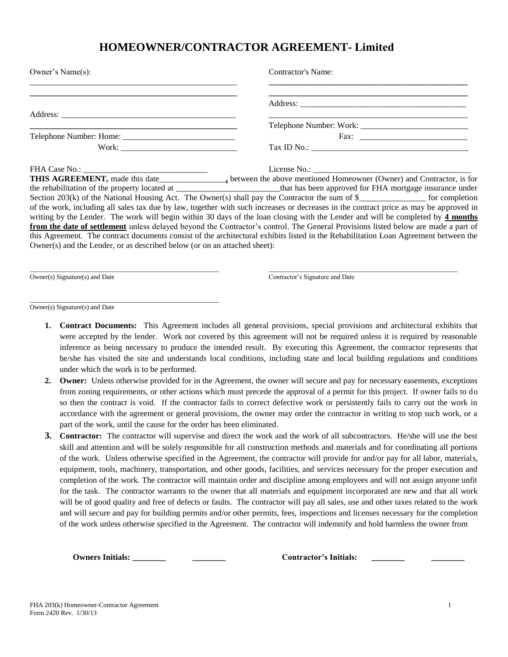## **HOMEOWNER/CONTRACTOR AGREEMENT- Limited**

| Owner's Name(s):                                                          | <b>Contractor's Name:</b>                                                                                                              |
|---------------------------------------------------------------------------|----------------------------------------------------------------------------------------------------------------------------------------|
|                                                                           |                                                                                                                                        |
|                                                                           |                                                                                                                                        |
|                                                                           |                                                                                                                                        |
|                                                                           |                                                                                                                                        |
|                                                                           |                                                                                                                                        |
|                                                                           |                                                                                                                                        |
|                                                                           |                                                                                                                                        |
|                                                                           |                                                                                                                                        |
|                                                                           |                                                                                                                                        |
|                                                                           | Section 203(k) of the National Housing Act. The Owner(s) shall pay the Contractor the sum of $\frac{8}{2}$ for completion              |
|                                                                           | of the work, including all sales tax due by law, together with such increases or decreases in the contract price as may be approved in |
|                                                                           | writing by the Lender. The work will begin within 30 days of the loan closing with the Lender and will be completed by 4 months        |
|                                                                           | from the date of settlement unless delayed beyond the Contractor's control. The General Provisions listed below are made a part of     |
|                                                                           | this Agreement. The contract documents consist of the architectural exhibits listed in the Rehabilitation Loan Agreement between the   |
| Owner(s) and the Lender, or as described below (or on an attached sheet): |                                                                                                                                        |

\_\_\_\_\_\_\_\_\_\_\_\_\_\_\_\_\_\_\_\_\_\_\_\_\_\_\_\_\_\_\_\_\_\_\_\_\_\_\_\_\_\_\_\_\_\_\_\_\_\_\_\_\_\_\_\_\_ \_\_\_\_\_\_\_\_\_\_\_\_\_\_\_\_\_\_\_\_\_\_\_\_\_\_\_\_\_\_\_\_\_\_\_\_\_\_\_\_\_\_\_\_\_\_\_\_\_\_\_\_\_\_\_\_\_

Owner(s) Signature(s) and Date Contractor's Signature and Date

Owner(s) Signature(s) and Date

\_\_\_\_\_\_\_\_\_\_\_\_\_\_\_\_\_\_\_\_\_\_\_\_\_\_\_\_\_\_\_\_\_\_\_\_\_\_\_\_\_\_\_\_\_\_\_\_\_\_\_\_\_\_\_\_\_

- **1. Contract Documents:** This Agreement includes all general provisions, special provisions and architectural exhibits that were accepted by the lender. Work not covered by this agreement will not be required unless it is required by reasonable inference as being necessary to produce the intended result. By executing this Agreement, the contractor represents that he/she has visited the site and understands local conditions, including state and local building regulations and conditions under which the work is to be performed.
- **2. Owner:** Unless otherwise provided for in the Agreement, the owner will secure and pay for necessary easements, exceptions from zoning requirements, or other actions which must precede the approval of a permit for this project. If owner fails to do so then the contract is void. If the contractor fails to correct defective work or persistently fails to carry out the work in accordance with the agreement or general provisions, the owner may order the contractor in writing to stop such work, or a part of the work, until the cause for the order has been eliminated.
- **3. Contractor:** The contractor will supervise and direct the work and the work of all subcontractors. He/she will use the best skill and attention and will be solely responsible for all construction methods and materials and for coordinating all portions of the work. Unless otherwise specified in the Agreement, the contractor will provide for and/or pay for all labor, materials, equipment, tools, machinery, transportation, and other goods, facilities, and services necessary for the proper execution and completion of the work. The contractor will maintain order and discipline among employees and will not assign anyone unfit for the task. The contractor warrants to the owner that all materials and equipment incorporated are new and that all work will be of good quality and free of defects or faults. The contractor will pay all sales, use and other taxes related to the work and will secure and pay for building permits and/or other permits, fees, inspections and licenses necessary for the completion of the work unless otherwise specified in the Agreement. The contractor will indemnify and hold harmless the owner from

**Owners Initials: Contractor's Initials:**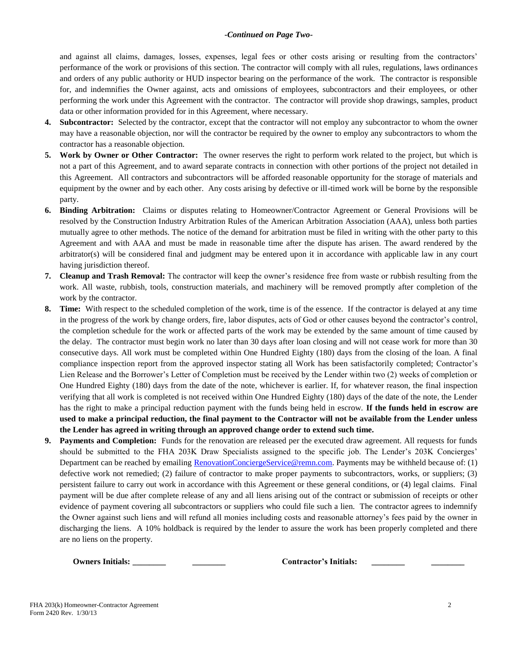## *-Continued on Page Two-*

and against all claims, damages, losses, expenses, legal fees or other costs arising or resulting from the contractors' performance of the work or provisions of this section. The contractor will comply with all rules, regulations, laws ordinances and orders of any public authority or HUD inspector bearing on the performance of the work. The contractor is responsible for, and indemnifies the Owner against, acts and omissions of employees, subcontractors and their employees, or other performing the work under this Agreement with the contractor. The contractor will provide shop drawings, samples, product data or other information provided for in this Agreement, where necessary.

- **4. Subcontractor:** Selected by the contractor, except that the contractor will not employ any subcontractor to whom the owner may have a reasonable objection, nor will the contractor be required by the owner to employ any subcontractors to whom the contractor has a reasonable objection.
- **5. Work by Owner or Other Contractor:** The owner reserves the right to perform work related to the project, but which is not a part of this Agreement, and to award separate contracts in connection with other portions of the project not detailed in this Agreement. All contractors and subcontractors will be afforded reasonable opportunity for the storage of materials and equipment by the owner and by each other. Any costs arising by defective or ill-timed work will be borne by the responsible party.
- **6. Binding Arbitration:** Claims or disputes relating to Homeowner/Contractor Agreement or General Provisions will be resolved by the Construction Industry Arbitration Rules of the American Arbitration Association (AAA), unless both parties mutually agree to other methods. The notice of the demand for arbitration must be filed in writing with the other party to this Agreement and with AAA and must be made in reasonable time after the dispute has arisen. The award rendered by the arbitrator(s) will be considered final and judgment may be entered upon it in accordance with applicable law in any court having jurisdiction thereof.
- **7. Cleanup and Trash Removal:** The contractor will keep the owner's residence free from waste or rubbish resulting from the work. All waste, rubbish, tools, construction materials, and machinery will be removed promptly after completion of the work by the contractor.
- **8. Time:** With respect to the scheduled completion of the work, time is of the essence. If the contractor is delayed at any time in the progress of the work by change orders, fire, labor disputes, acts of God or other causes beyond the contractor's control, the completion schedule for the work or affected parts of the work may be extended by the same amount of time caused by the delay. The contractor must begin work no later than 30 days after loan closing and will not cease work for more than 30 consecutive days. All work must be completed within One Hundred Eighty (180) days from the closing of the loan. A final compliance inspection report from the approved inspector stating all Work has been satisfactorily completed; Contractor's Lien Release and the Borrower's Letter of Completion must be received by the Lender within two (2) weeks of completion or One Hundred Eighty (180) days from the date of the note, whichever is earlier. If, for whatever reason, the final inspection verifying that all work is completed is not received within One Hundred Eighty (180) days of the date of the note, the Lender has the right to make a principal reduction payment with the funds being held in escrow. **If the funds held in escrow are used to make a principal reduction, the final payment to the Contractor will not be available from the Lender unless the Lender has agreed in writing through an approved change order to extend such time.**
- **9. Payments and Completion:** Funds for the renovation are released per the executed draw agreement. All requests for funds should be submitted to the FHA 203K Draw Specialists assigned to the specific job. The Lender's 203K Concierges' Department can be reached by emailing [RenovationConciergeService@remn.com.](mailto:RenovationConciergeService@remn.com) Payments may be withheld because of: (1) defective work not remedied; (2) failure of contractor to make proper payments to subcontractors, works, or suppliers; (3) persistent failure to carry out work in accordance with this Agreement or these general conditions, or (4) legal claims. Final payment will be due after complete release of any and all liens arising out of the contract or submission of receipts or other evidence of payment covering all subcontractors or suppliers who could file such a lien. The contractor agrees to indemnify the Owner against such liens and will refund all monies including costs and reasonable attorney's fees paid by the owner in discharging the liens. A 10% holdback is required by the lender to assure the work has been properly completed and there are no liens on the property.

**Owners Initials: \_\_\_\_\_\_\_\_ \_\_\_\_\_\_\_\_ Contractor's Initials: \_\_\_\_\_\_\_\_ \_\_\_\_\_\_\_\_**